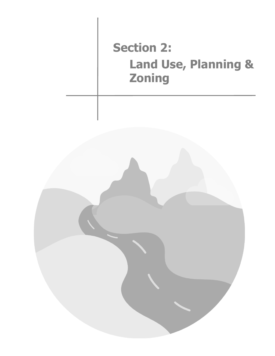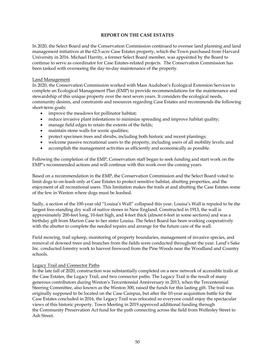### **REPORT ON THE CASE ESTATES**

In 2020, the Select Board and the Conservation Commission continued to oversee land planning and land management initiatives at the 62.5-acre Case Estates property, which the Town purchased from Harvard University in 2016. Michael Harrity, a former Select Board member, was appointed by the Board to continue to serve as coordinator for Case Estates-related projects. The Conservation Commission has been tasked with overseeing the day-to-day maintenance of the property.

### Land Management

In 2020, the Conservation Commission worked with Mass Audubon's Ecological Extension Services to complete an Ecological Management Plan (EMP) to provide recommendations for the maintenance and stewardship of this unique property over the next seven years. It considers the ecological needs, community desires, and constraints and resources regarding Case Estates and recommends the following short-term goals:

- improve the meadows for pollinator habitat;
- reduce invasive plant infestations to minimize spreading and improve habitat quality;
- manage field edges to retain the extents of the fields;
- maintain stone walls for scenic qualities;
- protect specimen trees and shrubs, including both historic and recent plantings;
- welcome passive recreational users to the property, including users of all mobility levels; and
- accomplish the management activities as efficiently and economically as possible.

Following the completion of the EMP, Conservation staff began to seek funding and start work on the EMP's recommended actions and will continue with this work over the coming years.

Based on a recommendation in the EMP, the Conservation Commission and the Select Board voted to limit dogs to on-leash only at Case Estates to protect sensitive habitat, abutting properties, and the enjoyment of all recreational users. This limitation makes the trails at and abutting the Case Estates some of the few in Weston where dogs must be leashed.

Sadly, a section of the 100-year old "Louisa's Wall" collapsed this year. Louisa's Wall is reputed to be the largest free-standing dry wall of native stones in New England. Constructed in 1913, the wall is approximately 200-feet long, 10-feet high, and 4-feet thick (almost 6-feet in some sections) and was a birthday gift from Marion Case to her sister Louisa. The Select Board has been working cooperatively with the abutter to complete the needed repairs and arrange for the future care of the wall.

Field mowing, trail upkeep, monitoring of property boundaries, management of invasive species, and removal of downed trees and branches from the fields were conducted throughout the year. Land's Sake Inc. conducted forestry work to harvest firewood from the Pine Woods near the Woodland and Country schools.

### Legacy Trail and Connector Paths

In the late fall of 2020, construction was substantially completed on a new network of accessible trails at the Case Estates, the Legacy Trail, and two connector paths. The Legacy Trail is the result of many generous contributors during Weston's Tercentennial Anniversary in 2013, when the Tercentennial Steering Committee, also known as the Weston 300, raised the funds for this lasting gift. The trail was originally supposed to be located on the Case Campus, but after the 10-year acquisition battle for the Case Estates concluded in 2016, the Legacy Trail was relocated so everyone could enjoy the spectacular views of this historic property. Town Meeting in 2019 approved additional funding through the [Community Preservation Act](https://www.westonma.gov/595/Community-Preservation-Act-Funds) fund for the path connecting across the field from Wellesley Street to Ash Street.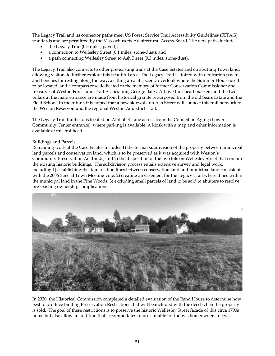The Legacy Trail and its connector paths meet US Forest Service Trail Accessibility Guidelines (FSTAG) standards and are permitted by the Massachusetts Architectural Access Board. The new paths include:

- the Legacy Trail (0.3 miles, paved);
- a connection to Wellesley Street (0.1 miles, stone-dust); and
- a path connecting Wellesley Street to Ash Street (0.3 miles, stone-dust).

The Legacy Trail also connects to other pre-existing trails at the Case Estates and on abutting Town land, allowing visitors to further explore this beautiful area. The Legacy Trail is dotted with dedication pavers and benches for resting along the way, a sitting area at a scenic overlook where the Summer House used to be located, and a compass rose dedicated to the memory of former Conservation Commissioner and treasurer of Weston Forest and Trail Association, George Bates. All five trail-head markers and the two pillars at the main entrance are made from historical granite repurposed from the old Sears Estate and the Field School. In the future, it is hoped that a new sidewalk on Ash Street will connect this trail network to the Weston Reservoir and the regional Weston Aqueduct Trail.

The Legacy Trail trailhead is located on Alphabet Lane across from the Council on Aging (Lower Community Center entrance), where parking is available. A kiosk with a map and other information is available at this trailhead.

# Buildings and Parcels

Remaining work at the Case Estates includes 1) the formal subdivision of the property between municipal land parcels and conservation land, which is to be preserved as it was acquired with Weston's Community Preservation Act funds; and 2) the disposition of the two lots on Wellesley Street that contain the existing historic buildings. The subdivision process entails extensive survey and legal work, including 1) establishing the demarcation lines between conservation land and municipal land consistent with the 2006 Special Town Meeting vote; 2) creating an easement for the Legacy Trail where it lies within the municipal land in the Pine Woods; 3) excluding small parcels of land to be sold to abutters to resolve pre-existing ownership complications.



In 2020, the Historical Commission completed a detailed evaluation of the Rand House to determine how best to produce binding Preservation Restrictions that will be included with the deed when the property is sold. The goal of these restrictions is to preserve the historic Wellesley Street façade of this circa 1790s home but also allow an addition that accommodates re-use suitable for today's homeowners' needs.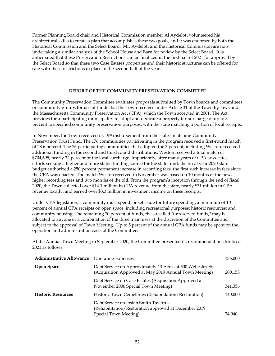Former Planning Board chair and Historical Commission member Al Aydelott volunteered his architectural skills to create a plan that accomplishes these two goals, and it was endorsed by both the Historical Commission and the Select Board. Mr. Aydelott and the Historical Commission are now undertaking a similar analysis of the School House and Barn for review by the Select Board. It is anticipated that these Preservation Restrictions can be finalized in the first half of 2021 for approval by the Select Board so that these two Case Estates properties and their historic structures can be offered for sale with these restrictions in place in the second half of the year.

## **REPORT OF THE COMMUNITY PRESERVATION COMMITTEE**

The Community Preservation Committee evaluates proposals submitted by Town boards and committees or community groups for use of funds that the Town receives under Article 31 of the Town By-laws and the Massachusetts Community Preservation Act (CPA), which the Town accepted in 2001. The Act provides for a participating municipality to adopt and dedicate a property tax surcharge of up to 3 percent to specified community preservation purposes, with the state matching a portion of local receipts.

In November, the Town received its 19<sup>th</sup> disbursement from the state's matching Community Preservation Trust Fund. The 176 communities participating in the program received a first-round match of 28.6 percent. The 76 participating communities that adopted the 3 percent, including Weston, received additional funding in the second and third round distributions. Weston received a total match of \$704,695, nearly 32 percent of the local surcharge. Importantly, after many years of CPA advocates' efforts seeking a higher and more stable funding source for the state fund, the fiscal year 2020 state budget authorized a 250 percent permanent increase in recording fees, the first such increase in fees since the CPA was enacted. The match Weston received in November was based on 10 months of the new, higher recording fees and two months of the old. From the program's inception through the end of fiscal 2020, the Town collected over \$14.1 million in CPA revenue from the state, nearly \$31 million in CPA revenue locally, and earned over \$3.3 million in investment income on these receipts.

Under CPA legislation, a community must spend, or set aside for future spending, a minimum of 10 percent of annual CPA receipts on open space, including recreational purposes; historic resources; and community housing. The remaining 70 percent of funds, the so-called "unreserved funds," may be allocated to anyone or a combination of the three main uses at the discretion of the Committee and subject to the approval of Town Meeting. Up to 5 percent of the annual CPA funds may be spent on the operation and administration costs of the Committee.

At the Annual Town Meeting in September 2020, the Committee presented its recommendations for fiscal 2021 as follows:

| <b>Administrative Allowance</b> | <b>Operating Expenses</b>                                                                                               | 136,000 |
|---------------------------------|-------------------------------------------------------------------------------------------------------------------------|---------|
| <b>Open Space</b>               | Debt Service on Approximately 13 Acres at 500 Wellesley St.<br>(Acquisition Approved at May 2019 Annual Town Meeting)   | 200,153 |
|                                 | Debt Service on Case Estates (Acquisition Approved at<br>November 2006 Special Town Meeting)                            | 341,356 |
| <b>Historic Resources</b>       | Historic Town Cemeteries (Rehabilitation/Restoration)                                                                   | 140,000 |
|                                 | Debt Service on Josiah Smith Tavern -<br>(Rehabilitation/Restoration approved at December 2019<br>Special Town Meeting) | 74.940  |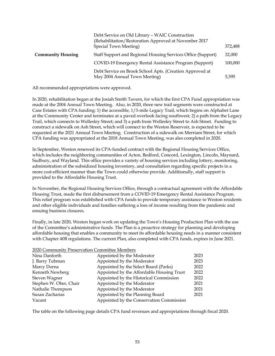|                          | Debt Service on Old Library - WAIC Construction<br>(Rehabilitation/Restoration Approved at November 2017<br>Special Town Meeting) | 372,488 |
|--------------------------|-----------------------------------------------------------------------------------------------------------------------------------|---------|
| <b>Community Housing</b> | Staff Support and Regional Housing Services Office (Support)                                                                      | 32,000  |
|                          | COVID-19 Emergency Rental Assistance Program (Support)                                                                            | 100,000 |
|                          | Debt Service on Brook School Apts. (Creation Approved at<br>May 2004 Annual Town Meeting)                                         | 5,395   |

All recommended appropriations were approved.

In 2020, rehabilitation began at the Josiah Smith Tavern, for which the first CPA Fund appropriation was made at the 2004 Annual Town Meeting. Also, in 2020, three new trail segments were constructed at Case Estates with CPA funding: 1) the accessible, 1/3-mile Legacy Trail, which begins on Alphabet Lane at the Community Center and terminates at a paved overlook facing southwest; 2) a path from the Legacy Trail, which connects to Wellesley Street; and 3) a path from Wellesley Street to Ash Street. Funding to construct a sidewalk on Ash Street, which will connect to the Weston Reservoir, is expected to be requested at the 2021 Annual Town Meeting. Construction of a sidewalk on Merriam Street, for which CPA funding was appropriated at the 2018 Annual Town Meeting, was also completed in 2020.

In September, Weston renewed its CPA-funded contract with the Regional Housing Services Office, which includes the neighboring communities of Acton, Bedford, Concord, Lexington, Lincoln, Maynard, Sudbury, and Wayland. This office provides a variety of housing services including lottery, monitoring, administration of the subsidized housing inventory, and consultation regarding specific projects in a more cost-efficient manner than the Town could otherwise provide. Additionally, staff support is provided to the Affordable Housing Trust.

In November, the Regional Housing Services Office, through a contractual agreement with the Affordable Housing Trust, made the first disbursement from a COVID-19 Emergency Rental Assistance Program. This relief program was established with CPA funds to provide temporary assistance to Weston residents and other eligible individuals and families suffering a loss of income resulting from the pandemic and ensuing business closures.

Finally, in late 2020, Weston began work on updating the Town's Housing Production Plan with the use of the Committee's administrative funds. The Plan is a proactive strategy for planning and developing affordable housing that enables a community to meet its affordable housing needs in a manner consistent with Chapter 40B regulations. The current Plan, also completed with CPA funds, expires in June 2021.

| 2020 Community Preservation Committee Members |                                           |      |
|-----------------------------------------------|-------------------------------------------|------|
| Nina Danforth                                 | Appointed by the Moderator                | 2023 |
| J. Barry Tubman                               | Appointed by the Moderator                | 2023 |
| Marcy Dorna                                   | Appointed by the Select Board (Parks)     | 2022 |
| Kenneth Newberg                               | Appointed by the Affordable Housing Trust | 2022 |
| Steven Wagner                                 | Appointed by the Historical Commission    | 2022 |
| Stephen W. Ober, Chair                        | Appointed by the Moderator                | 2021 |
| Nathalie Thompson                             | Appointed by the Moderator                | 2021 |
| Susan Zacharias                               | Appointed by the Planning Board           | 2021 |
| Vacant                                        | Appointed by the Conservation Commission  |      |

The table on the following page details CPA fund revenues and appropriations through fiscal 2020.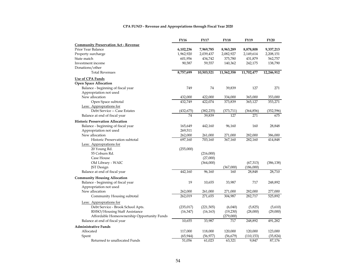#### **CPA FUND - Revenue and Appropriations through Fiscal Year 2020**

|                                             | <b>FY16</b> | <b>FY17</b> | <b>FY18</b> | <b>FY19</b> | <b>FY20</b> |
|---------------------------------------------|-------------|-------------|-------------|-------------|-------------|
| <b>Community Preservation Act - Revenue</b> |             |             |             |             |             |
| Prior Year Balance                          | 6,102,236   | 7,969,785   | 8,963,289   | 8,878,808   | 9,337,213   |
| Property surcharge                          | 1,962,920   | 2,039,437   | 2,082,927   | 2,149,614   | 2,208,151   |
| State match                                 | 601,956     | 434,742     | 375,780     | 431,879     | 562,757     |
| Investment income                           | 90,587      | 59,557      | 140,362     | 242,175     | 138,790     |
| Donations/other                             |             |             |             |             |             |
| <b>Total Revenues</b>                       | 8,757,699   | 10,503,521  | 11,562,358  | 11,702,477  | 12,246,912  |
| <b>Use of CPA Funds</b>                     |             |             |             |             |             |
| <b>Open Space Allocation</b>                |             |             |             |             |             |
| Balance - beginning of fiscal year          | 749         | 74          | 39,839      | 127         | 271         |
| Appropriation not used                      |             |             |             |             |             |
| New allocation                              | 432,000     | 422,000     | 334,000     | 365,000     | 353,000     |
| Open Space subtotal                         | 432,749     | 422,074     | 373,839     | 365,127     | 353,271     |
| Less: Approprations for                     |             |             |             |             |             |
| Debt Service -- Case Estates                | (432,675)   | (382, 235)  | (373, 711)  | (364, 856)  | (352, 596)  |
| Balance at end of fiscal year               | 74          | 39,839      | 127         | 271         | 675         |
| <b>Historic Preservation Allocation</b>     |             |             |             |             |             |
| Balance - beginning of fiscal year          | 165,649     | 442,160     | 96,160      | 160         | 28,848      |
| Appropriation not used                      | 269,511     |             |             |             |             |
| New allocation                              | 262,000     | 261,000     | 271,000     | 282,000     | 386,000     |
| Historic Preservation subtotal              | 697,160     | 703,160     | 367,160     | 282,160     | 414,848     |
| Less: Approprations for                     |             |             |             |             |             |
| 20 Young Rd.                                | (255,000)   |             |             |             |             |
| 55 Coburn Rd.                               |             | (216,000)   |             |             |             |
| Case House                                  |             | (27,000)    |             |             |             |
| Old Library - WAIC                          |             | (364,000)   |             | (67, 313)   | (386, 138)  |
| JST Design                                  |             |             | (367,000)   | (186,000)   |             |
| Balance at end of fiscal year               | 442,160     | 96,160      | 160         | 28,848      | 28,710      |
| <b>Community Housing Allocation</b>         |             |             |             |             |             |
| Balance - beginning of fiscal year          | 19          | 10,655      | 33,987      | 717         | 248,892     |
| Appropriation not used                      |             |             |             |             |             |
| New allocation                              | 262,000     | 261,000     | 271,000     | 282,000     | 277,000     |
| Community Housing subtotal                  | 262,019     | 271,655     | 304,987     | 282,717     | 525,892     |
| Less: Approprations for                     |             |             |             |             |             |
| Debt Service - Brook School Apts.           | (235, 017)  | (221, 505)  | (6,040)     | (5, 825)    | (5,610)     |
| RHSO/Housing Staff Assistance               | (16, 347)   | (16, 163)   | (19,230)    | (28,000)    | (29,000)    |
| Affordable Homeownership Opportunity Funds  |             |             | (279,000)   |             |             |
| Balance at end of fiscal year               | 10,655      | 33,987      | 717         | 248,892     | 491,282     |
| <b>Administrative Funds</b>                 |             |             |             |             |             |
| Allocated                                   | 117,000     | 118,000     | 120,000     | 120,000     | 123,000     |
| Spent                                       | (65, 944)   | (56, 977)   | (56, 679)   | (110, 153)  | (35, 824)   |
| Returned to unallocated Funds               | 51,056      | 61,023      | 63,321      | 9,847       | 87,176      |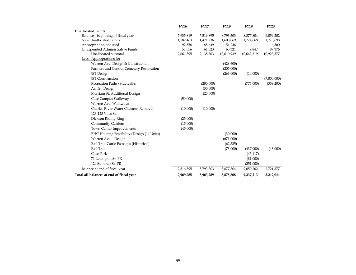|                                           | <b>FY16</b> | <b>FY17</b> | <b>FY18</b> | <b>FY19</b> | <b>FY20</b> |
|-------------------------------------------|-------------|-------------|-------------|-------------|-------------|
| <b>Unallocated Funds</b>                  |             |             |             |             |             |
| Balance - beginning of fiscal year        | 5,935,819   | 7,516,895   | 8,793,303   | 8,877,804   | 9,059,202   |
| New Unallocated Funds                     | 1,582,463   | 1,471,736   | 1,603,069   | 1,774,668   | 1,770,698   |
| Appropriation not used                    | 92,558      | 88,649      | 151,246     |             | 6,500       |
| Unexpended Administrative Funds           | 51,056      | 61,023      | 63,321      | 9,847       | 87,176      |
| Unallocated subtotal                      | 7,661,895   | 9,138,303   | 10,610,939  | 10,662,319  | 10,923,577  |
| Less: Approprations for                   |             |             |             |             |             |
| Warren Ave. Design & Construction         |             |             | (428, 600)  |             |             |
| Farmers and Central Cemetery Restoration  |             |             | (205,000)   |             |             |
| JST Design                                |             |             | (263,000)   | (14,000)    |             |
| <b>JST</b> Construction                   |             |             |             |             | (7,800,000) |
| Recreation Paths/Sidewalks                |             | (280,000)   |             | (775,000)   | (359, 200)  |
| Ash St. Design                            |             | (30,000)    |             |             |             |
| Merriam St. Additional Design             |             | (25,000)    |             |             |             |
| Case Campus Walkways                      | (50,000)    |             |             |             |             |
| Warren Ave. Walkways                      |             |             |             |             |             |
| Charles River Water Chestnut Removal      | (10,000)    | (10,000)    |             |             |             |
| 126-128 Viles St.                         |             |             |             |             |             |
| Dickson Riding Ring                       | (25,000)    |             |             |             |             |
| <b>Community Gardens</b>                  | (15,000)    |             |             |             |             |
| Town Center Improvements                  | (45,000)    |             |             |             |             |
| EHC Housing Feasibility/Design (14 Units) |             |             | (30,000)    |             |             |
| Warren Ave. - Design                      |             |             | (671,000)   |             |             |
| Rail Trail Cattle Passages (Historical)   |             |             | (62, 535)   |             |             |
| Rail Trail                                |             |             | (73,000)    | (437,000)   | (43,000)    |
| Case Park                                 |             |             |             | (45, 117)   |             |
| 71 Lexington St. PR                       |             |             |             | (81,000)    |             |
| 120 Summer St. PR                         |             |             |             | (251,000)   |             |
| Balance at end of fiscal year             | 7,516,895   | 8,793,303   | 8,877,804   | 9,059,202   | 2,721,377   |
| Total all balances at end of fiscal year  | 7,969,785   | 8,963,289   | 8,878,808   | 9,337,213   | 3,242,044   |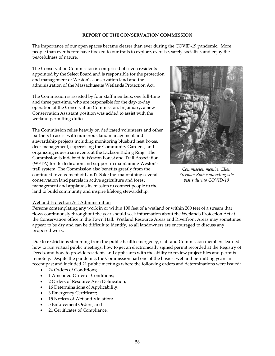### **REPORT OF THE CONSERVATION COMMISSION**

The importance of our open spaces became clearer than ever during the COVID-19 pandemic. More people than ever before have flocked to our trails to explore, exercise, safely socialize, and enjoy the peacefulness of nature.

The Conservation Commission is comprised of seven residents appointed by the Select Board and is responsible for the protection and management of Weston's conservation land and the administration of the Massachusetts Wetlands Protection Act.

The Commission is assisted by four staff members, one full-time and three part-time, who are responsible for the day-to-day operation of the Conservation Commission. In January, a new Conservation Assistant position was added to assist with the wetland permitting duties.

The Commission relies heavily on dedicated volunteers and other partners to assist with numerous land management and stewardship projects including monitoring bluebird nest boxes, deer management, supervising the Community Gardens, and organizing equestrian events at the Dickson Riding Ring. The Commission is indebted to Weston Forest and Trail Association (WFTA) for its dedication and support in maintaining Weston's trail system. The Commission also benefits greatly from the continued involvement of Land's Sake Inc. maintaining several conservation land parcels in active agriculture and forest management and applauds its mission to connect people to the land to build community and inspire lifelong stewardship.



*Commission member Ellen Freeman Roth conducting site visits during COVID-19* 

# Wetland Protection Act Administration

Persons contemplating any work in or within 100 feet of a wetland or within 200 feet of a stream that flows continuously throughout the year should seek information about the Wetlands Protection Act at the Conservation office in the Town Hall. Wetland Resource Areas and Riverfront Areas may sometimes appear to be dry and can be difficult to identify, so all landowners are encouraged to discuss any proposed work.

Due to restrictions stemming from the public health emergency, staff and Commission members learned how to run virtual public meetings, how to get an electronically signed permit recorded at the Registry of Deeds, and how to provide residents and applicants with the ability to review project files and permits remotely. Despite the pandemic, the Commission had one of the busiest wetland permitting years in recent past and included 21 public meetings where the following orders and determinations were issued:

- 24 Orders of Conditions;
- 1 Amended Order of Conditions;
- 2 Orders of Resource Area Delineation;
- 16 Determinations of Applicability;
- 3 Emergency Certificate;
- 15 Notices of Wetland Violation;
- 5 Enforcement Orders; and
- 21 Certificates of Compliance.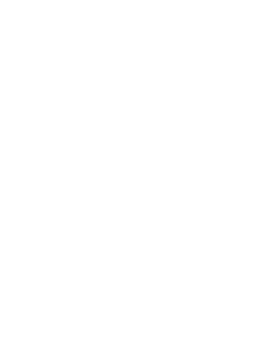# REPORT ON THE CASE ESTATES



#### **Upday Buyish Ave**

EMP's recommended actions and will continue with this work over the coming years.

| Bailey<br>tglo<br>thai | <b>Holde</b> |    |              |                 | 电磁盘                   |               |            |        |   | ▩<br>thing |                              |                 | đЭ            | dilib                 |                   | @ճո       |                                                                                                           |
|------------------------|--------------|----|--------------|-----------------|-----------------------|---------------|------------|--------|---|------------|------------------------------|-----------------|---------------|-----------------------|-------------------|-----------|-----------------------------------------------------------------------------------------------------------|
| ß                      |              | 当地 |              | <b>dine til</b> |                       | -61           |            |        |   |            | "Louisa's Wall" collapsed by | ß               |               | . Louisa's Wall it be | <b>i Ship</b>     |           |                                                                                                           |
| 地间<br>蟖                |              |    |              |                 | -锄<br>М               | <b>CHANGE</b> | -e         | ₩₫     |   | $4-6$      | ₩б<br><b>Ellio</b>           |                 | -e            | inte                  |                   | be≹u<br>Þ |                                                                                                           |
| w                      | b            |    | Ю            |                 | p                     | lttel         |            |        | Þ | sd         | ₫òb                          |                 | <b>fettio</b> |                       |                   |           |                                                                                                           |
| Flogn<br>b<br>sb       | co⊌          | S. |              | $\mathbf{a}$    | þ<br><b>CALCULARY</b> | , topo        |            |        |   | 懗          |                              | tjip            |               | b<br>a                | ш                 |           | d<br>removal of downed trees and branches from the fields were conducted throughout the year. Land's Sake |
| 堕                      |              |    |              | டு              |                       | 8             |            |        |   |            |                              |                 |               |                       |                   |           |                                                                                                           |
| Ib                     |              | a  | <b>tighe</b> |                 |                       |               |            | þ      |   |            | þb                           |                 | a dididen     |                       |                   |           |                                                                                                           |
| 镰<br>9                 |              |    |              | ,嘶              |                       |               | , <b>d</b> | w<br>₩ |   | 栴          | , diffutifies/               | <b>That top</b> |               | ,bv                   | th $\overline{b}$ |           |                                                                                                           |
|                        |              |    |              |                 |                       |               |            |        |   |            |                              |                 |               | -difth                |                   |           | a                                                                                                         |
| idiri.                 |              |    |              |                 |                       |               |            |        |   |            |                              |                 |               |                       |                   |           |                                                                                                           |
| b<br>KS.               | 黴            |    |              |                 |                       |               | tibe       |        |   | þ          | <b>beliefon</b>              |                 |               |                       |                   | 過         |                                                                                                           |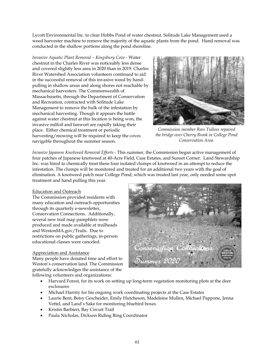Lycott Environmental Inc. to clear Hobbs Pond of water chestnut. Solitude Lake Management used a weed harvester machine to remove the majority of the aquatic plants from the pond. Hand removal was conducted in the shallow portions along the pond shoreline.

*Invasive Aquatic Plant Removal – Kingsbury Cove -* Water chestnut in the Charles River was noticeably less dense and covered slightly less area in 2020 than in 2019. Charles River Watershed Association volunteers continued to aid in the successful removal of this invasive weed by handpulling in shallow areas and along shores not reachable by mechanical harvesters. The Commonwealth of Massachusetts, through the Department of Conservation and Recreation, contracted with Solitude Lake Management to remove the bulk of the infestation by mechanical harvesting. Though it appears the battle against water chestnut at this location is being won, the invasive milfoil and fanwort are rapidly taking their place. Either chemical treatment or periodic harvesting/mowing will be required to keep the coves navigable throughout the summer season.



*Commission member Rees Tulloss repaired the bridge over Cherry Brook in College Pond Conservation Area.* 

*Invasive Japanese Knotweed Removal Efforts -* This summer, the Commission began active management of four patches of Japanese knotweed at 40-Acre Field, Case Estates, and Sunset Corner. Land Stewardship Inc. was hired to chemically treat these four isolated clumps of knotweed in an attempt to reduce the infestation. The clumps will be monitored and treated for an additional two years with the goal of elimination. A knotweed patch near College Pond, which was treated last year, only needed some spot treatment and hand pulling this year.

# Education and Outreach

The Commission provided residents with many education and outreach opportunities through its quarterly e-newsletter, Conservation Connections. Additionally, several new trail map pamphlets were produced and made available at trailheads and WestonMA.gov/Trails. Due to restrictions on public gatherings, in-person educational classes were canceled.

# Appreciation and Assistance

Many people have donated time and effort to Weston's conservation land. The Commission gratefully acknowledges the assistance of the following volunteers and organizations:



- Harvard Forest, for its work on setting up long-term vegetation monitoring plots at the deer exclosures
- Michael Harrity for his ongoing work coordinating projects at the Case Estates
- Laurie Bent, Betsy Gescheider, Emily Hutcheson, Madeleine Mullen, Michael Pappone, Jenna Vettel, and Land's Sake for monitoring bluebird boxes
- Kristin Barbieri, Bay Circuit Trail
- Paula Nicholas, Dickson Riding Ring Coordinator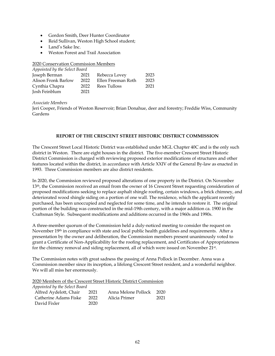- Gordon Smith, Deer Hunter Coordinator
- Reid Sullivan, Weston High School student;
- Land's Sake Inc.
- Weston Forest and Trail Association

#### 2020 Conservation Commission Members

| Appointed by the Select Board |      |                    |      |  |  |  |  |  |  |  |  |
|-------------------------------|------|--------------------|------|--|--|--|--|--|--|--|--|
| Joseph Berman                 | 2021 | Rebecca Lovey      | 2023 |  |  |  |  |  |  |  |  |
| Alison Fronk Barlow           | 2022 | Ellen Freeman Roth | 2023 |  |  |  |  |  |  |  |  |
| Cynthia Chapra                | 2022 | Rees Tulloss       | 2021 |  |  |  |  |  |  |  |  |
| Josh Feinblum                 | 2021 |                    |      |  |  |  |  |  |  |  |  |

#### *Associate Members*

Jeri Cooper, Friends of Weston Reservoir; Brian Donahue, deer and forestry; Freddie Wiss, Community Gardens

## **REPORT OF THE CRESCENT STREET HISTORIC DISTRICT COMMISSION**

The Crescent Street Local Historic District was established under MGL Chapter 40C and is the only such district in Weston. There are eight houses in the district. The five-member Crescent Street Historic District Commission is charged with reviewing proposed exterior modifications of structures and other features located within the district, in accordance with Article XXIV of the General By-law as enacted in 1993. Three Commission members are also district residents.

In 2020, the Commission reviewed proposed alterations of one property in the District. On November 13th, the Commission received an email from the owner of 16 Crescent Street requesting consideration of proposed modifications seeking to replace asphalt shingle roofing, certain windows, a brick chimney, and deteriorated wood shingle siding on a portion of one wall. The residence, which the applicant recently purchased, has been unoccupied and neglected for some time, and he intends to restore it. The original portion of the building was constructed in the mid-19th century, with a major addition ca. 1900 in the Craftsman Style. Subsequent modifications and additions occurred in the 1960s and 1990s.

A three-member quorum of the Commission held a duly-noticed meeting to consider the request on November 19th in compliance with state and local public health guidelines and requirements. After a presentation by the owner and deliberation, the Commission members present unanimously voted to grant a Certificate of Non-Applicability for the roofing replacement, and Certificates of Appropriateness for the chimney removal and siding replacement, all of which were issued on November 21 st .

The Commission notes with great sadness the passing of Anna Pollock in December. Anna was a Commission member since its inception, a lifelong Crescent Street resident, and a wonderful neighbor. We will all miss her enormously.

|  |  |  |  |  | 2020 Members of the Crescent Street Historic District Commission |  |  |
|--|--|--|--|--|------------------------------------------------------------------|--|--|
|  |  |  |  |  |                                                                  |  |  |

| Appointed by the Select Board |      |                     |      |
|-------------------------------|------|---------------------|------|
| Alfred Aydelott, Chair        | 2021 | Anna Melone Pollock | 2020 |
| Catherine Adams Fiske         | 2022 | Alicia Primer       | 2021 |
| David Fixler                  | 2020 |                     |      |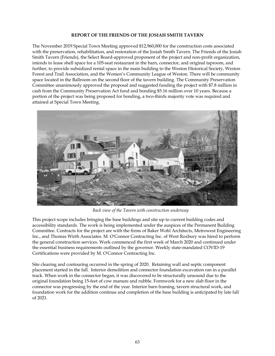## **REPORT OF THE FRIENDS OF THE JOSIAH SMITH TAVERN**

The November 2019 Special Town Meeting approved \$12,960,000 for the construction costs associated with the preservation, rehabilitation, and restoration of the Josiah Smith Tavern. The Friends of the Josiah Smith Tavern (Friends), the Select Board-approved proponent of the project and non-profit organization, intends to lease shell space for a 105-seat restaurant in the barn, connector, and original taproom, and further, to provide subsidized rental space in the main building to the Weston Historical Society, Weston Forest and Trail Association, and the Women's Community League of Weston. There will be community space located in the Ballroom on the second floor of the tavern building. The Community Preservation Committee unanimously approved the proposal and suggested funding the project with \$7.8 million in cash from the Community Preservation Act fund and bonding \$5.16 million over 10 years. Because a portion of the project was being proposed for bonding, a two-thirds majority vote was required and attained at Special Town Meeting.



*Back view of the Tavern with construction underway*

This project scope includes bringing the base buildings and site up to current building codes and accessibility standards. The work is being implemented under the auspices of the Permanent Building Committee. Contracts for the project are with the firms of Baker Wohl Architects, Metrowest Engineering Inc., and Thomas Wirth Associates. M. O'Connor Contracting Inc. of West Roxbury was hired to perform the general construction services. Work commenced the first week of March 2020 and continued under the essential business requirements outlined by the governor. Weekly state-mandated COVID-19 Certifications were provided by M. O'Connor Contracting Inc.

Site clearing and contouring occurred in the spring of 2020. Retaining wall and septic component placement started in the fall. Interior demolition and connector foundation excavation ran in a parallel track. When work in the connector began, it was discovered to be structurally unsound due to the original foundation being 15-feet of cow manure and rubble. Formwork for a new slab floor in the connector was progressing by the end of the year. Interior barn framing, tavern structural work, and foundation work for the addition continue and completion of the base building is anticipated by late fall of 2021.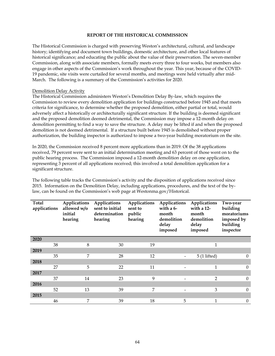### **REPORT OF THE HISTORICAL COMMISSION**

The Historical Commission is charged with preserving Weston's architectural, cultural, and landscape history; identifying and document town buildings, domestic architecture, and other local features of historical significance; and educating the public about the value of their preservation. The seven-member Commission, along with associate members, formally meets every three to four weeks, but members also engage in other aspects of the Commission's work throughout the year. This year, because of the COVID-19 pandemic, site visits were curtailed for several months, and meetings were held virtually after mid-March. The following is a summary of the Commission's activities for 2020.

#### Demolition Delay Activity

The Historical Commission administers Weston's Demolition Delay By-law, which requires the Commission to review every demolition application for buildings constructed before 1945 and that meets criteria for significance, to determine whether the proposed demolition, either partial or total, would adversely affect a historically or architecturally significant structure. If the building is deemed significant and the proposed demolition deemed detrimental, the Commission may impose a 12-month delay on demolition permitting to find a way to save the structure. A delay may be lifted if and when the proposed demolition is not deemed detrimental. If a structure built before 1945 is demolished without proper authorization, the building inspector is authorized to impose a two-year building moratorium on the site.

In 2020, the Commission received 8 percent more applications than in 2019. Of the 38 applications received, 79 percent were sent to an initial determination meeting and 63 percent of those went on to the public hearing process. The Commission imposed a 12-month demolition delay on one application, representing 3 percent of all applications received; this involved a total demolition application for a significant structure.

The following table tracks the Commission's activity and the disposition of applications received since 2015. Information on the Demolition Delay, including applications, procedures, and the text of the bylaw, can be found on the Commission's web page at Westonma.gov/Historical.

| <b>Total</b><br>applications | Applications<br>allowed w/o<br>initial<br>hearing | Applications<br>sent to initial<br>determination<br>hearing | Applications<br>sent to<br>public<br>hearing | Applications<br>with a 6-<br>month<br>demolition<br>delay<br>imposed | Applications<br>with a $12-$<br>month<br>demolition<br>delay<br>imposed | Two-year<br>building<br>moratoriums<br>imposed by<br>building<br>inspector |
|------------------------------|---------------------------------------------------|-------------------------------------------------------------|----------------------------------------------|----------------------------------------------------------------------|-------------------------------------------------------------------------|----------------------------------------------------------------------------|
| 2020                         |                                                   |                                                             |                                              |                                                                      |                                                                         |                                                                            |
| 38                           | 8                                                 | 30                                                          | 19                                           |                                                                      |                                                                         |                                                                            |
| 2019                         |                                                   |                                                             |                                              |                                                                      |                                                                         |                                                                            |
| 35                           | 7                                                 | 28                                                          | 12                                           | $\overline{\phantom{a}}$                                             | 5 (1 lifted)                                                            | $\theta$                                                                   |
| 2018                         |                                                   |                                                             |                                              |                                                                      |                                                                         |                                                                            |
| 27                           | 5                                                 | 22                                                          | 11                                           | $\overline{a}$                                                       | 1                                                                       | $\theta$                                                                   |
| 2017                         |                                                   |                                                             |                                              |                                                                      |                                                                         |                                                                            |
| 37                           | 14                                                | 23                                                          | 9                                            | $\qquad \qquad \blacksquare$                                         | 2                                                                       | $\theta$                                                                   |
| 2016                         |                                                   |                                                             |                                              |                                                                      |                                                                         |                                                                            |
| 52                           | 13                                                | 39                                                          | 7                                            | $\qquad \qquad \blacksquare$                                         | 3                                                                       | $\theta$                                                                   |
| 2015                         |                                                   |                                                             |                                              |                                                                      |                                                                         |                                                                            |
| 46                           | 7                                                 | 39                                                          | 18                                           | 5                                                                    | 1                                                                       | $\mathbf{0}$                                                               |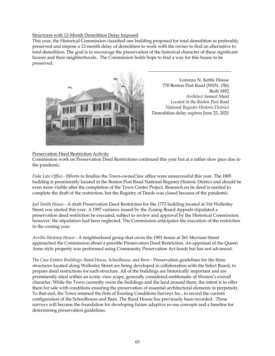### Structures with 12-Month Demolition Delay Imposed

This year, the Historical Commission classified one building proposed for total demolition as preferably preserved and impose a 12-month delay of demolition to work with the owner to find an alternative to total demolition. The goal is to encourage the preservation of the historical character of these significant houses and their neighborhoods. The Commission holds hope to find a way for this house to be preserved.



Lorenzo N. Kettle House 770 Boston Post Road (WSN. 156) Built 1892 *Architect Samuel Mead Located in the Boston Post Road National Register Historic District* Demolition delay expires June 23, 2021

## Preservation Deed Restriction Activity

Commission work on Preservation Deed Restrictions continued this year but at a rather slow pace due to the pandemic.

*Fiske Law Office* - Efforts to finalize the Town-owned law office were unsuccessful this year. The 1805 building is prominently located in the Boston Post Road National Register Historic District and should be even more visible after the completion of the Town Center Project. Research on its deed is needed to complete the draft of the restriction, but the Registry of Deeds was closed because of the pandemic.

*Joel Smith House* - A draft Preservation Deed Restriction for the 1773 building located at 316 Wellesley Street was started this year. A 1997 variance issued by the Zoning Board Appeals stipulated a preservation deed restriction be executed, subject to review and approval by the Historical Commission; however, the stipulation had been neglected. The Commission anticipates the execution of the restriction in the coming year.

*Arvilla Stickney House* - A neighborhood group that owns the 1901 house at 261 Merriam Street approached the Commission about a possible Preservation Deed Restriction. An appraisal of the Queen Anne style property was performed using Community Preservation Act funds but has not advanced.

*The Case Estates Buildings: Rand House, Schoolhouse, and Barn* - Preservation guidelines for the three structures located along Wellesley Street are being developed in collaboration with the Select Board, to prepare deed restrictions for each structure. All of the buildings are historically important and are prominently sited within an iconic view scape, generally considered emblematic of Weston's overall character. While the Town currently owns the buildings and the land around them, the intent is to offer them for sale with conditions ensuring the preservation of essential architectural elements in perpetuity. To that end, the Town retained the firm of Existing Conditions Surveys Inc., to record the current configuration of the Schoolhouse and Barn. The Rand House has previously been recorded. These surveys will become the foundation for developing future adaptive re-use concepts and a baseline for determining preservation guidelines.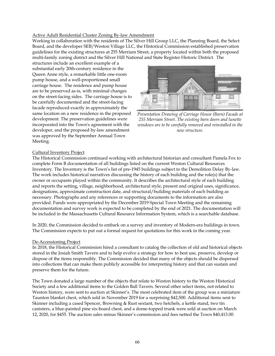### Active Adult Residential Cluster Zoning By-law Amendment

Working in collaboration with the residents of The Silver Hill Group LLC, the Planning Board, the Select Board, and the developer SEB/Weston Village LLC, the Historical Commission established preservation guidelines for the existing structures at 255 Merriam Street, a property located within both the proposed multi-family zoning district and the Silver Hill National and State Register Historic District. The

structures include an excellent example of a substantial early 20th-century residence in the Queen Anne style, a remarkable little one-room pump house, and a well-proportioned small carriage house. The residence and pump house are to be preserved as-is, with minimal changes on the street-facing sides. The carriage house is to be carefully documented and the street-facing facade reproduced exactly in approximately the same location on a new residence in the proposed development. The preservation guidelines were incorporated into the Town's agreement with the developer, and the proposed by-law amendment was approved by the September Annual Town Meeting.



*Presentation Drawing of Carriage House (Barn) Facade at 255 Merriam Street. The existing barn doors and lunette windows are to be carefully removed and reinstalled in the new structure.*

# Cultural Inventory Project

The Historical Commission continued working with architectural historian and consultant Pamela Fox to complete Form B documentation of all buildings listed on the current Weston Cultural Resources Inventory. The Inventory is the Town's list of pre-1945 buildings subject to the Demolition Delay By-law. The work includes historical narratives discussing the history of each building and the role(s) that the owner or occupants played within the community. It describes the architectural style of each building and reports the setting, village, neighborhood, architectural style, present and original uses, significance, designations, approximate construction date, and structural/building materials of each building as necessary. Photographs and any references or supporting documents to the information are also provided. Funds were appropriated by the December 2019 Special Town Meeting and the remaining documentation and survey work is expected to be completed by the end of 2021. The documentation will be included in the Massachusetts Cultural Resource Information System, which is a searchable database.

In 2020, the Commission decided to embark on a survey and inventory of Modern-era buildings in town. The Commission expects to put out a formal request for quotations for this work in the coming year.

### De-Accessioning Project

In 2018, the Historical Commission hired a consultant to catalog the collection of old and historical objects stored in the Josiah Smith Tavern and to help evolve a strategy for how to best use, preserve, develop or dispose of the items responsibly. The Commission decided that many of the objects should be dispersed into collections that can make them publicly accessible for interpreting history and that can sustain and preserve them for the future.

The Town donated a large number of the objects that relate to Weston history to the Weston Historical Society and a few additional items to the Golden Ball Tavern. Several other select items, not related to Weston history, were sent to auction at Skinner's. The most celebrated item of the group was a miniature Taunton blanket chest, which sold in November 2019 for a surprising \$42,500. Additional items sent to Skinner including a cased Spencer, Browning & Rust sextant, two hetchels, a kettle stand, two tin canisters, a blue-painted pine six-board chest, and a dome-topped trunk were sold at auction on March 12, 2020, for \$455. The auction sales minus Skinner's commission and fees netted the Town \$40,413.00.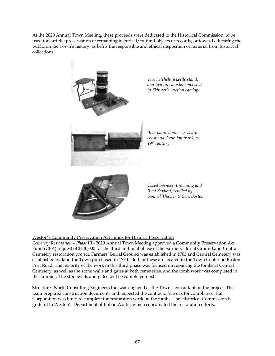At the 2020 Annual Town Meeting, these proceeds were dedicated to the Historical Commission, to be used toward the preservation of remaining historical/cultural objects or records, or toward educating the public on the Town's history, as befits the responsible and ethical disposition of material from historical collections.



# Weston's Community Preservation Act Funds for Historic Preservation

*Cemetery Restoration – Phase III -* 2020 Annual Town Meeting approved a Community Preservation Act Fund (CPA) request of \$140,000 for the third and final phase of the Farmers' Burial Ground and Central Cemetery restoration project. Farmers' Burial Ground was established in 1703 and Central Cemetery was established on land the Town purchased in 1790. Both of these are located in the Town Center on Boston Post Road. The majority of the work in this third phase was focused on repairing the tombs at Central Cemetery, as well as the stone walls and gates at both cemeteries, and the tomb work was completed in the summer. The stonewalls and gates will be completed next.

Structures North Consulting Engineers Inc. was engaged as the Towns' consultant on the project. The team prepared construction documents and inspected the contractor's work for compliance. Cali Corporation was hired to complete the restoration work on the tombs. The Historical Commission is grateful to Weston's Department of Public Works, which coordinated the restoration efforts.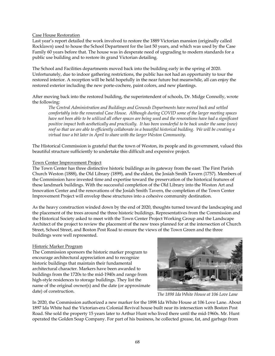### Case House Restoration

Last year's report detailed the work involved to restore the 1889 Victorian mansion (originally called Rocklawn) used to house the School Department for the last 50 years, and which was used by the Case Family 60 years before that. The house was in desperate need of upgrading to modern standards for a public use building and to restore its grand Victorian detailing.

The School and Facilities departments moved back into the building early in the spring of 2020. Unfortunately, due to indoor gathering restrictions, the public has not had an opportunity to tour the restored interior. A reception will be held hopefully in the near future but meanwhile, all can enjoy the restored exterior including the new porte-cochere, paint colors, and new plantings.

After moving back into the restored building, the superintendent of schools, Dr. Midge Connolly, wrote the following:

*The Central Administration and Buildings and Grounds Departments have moved back and settled comfortably into the renovated Case House. Although during COVID some of the larger meeting spaces have not been able to be utilized all other spaces are being used and the renovations have had a significant positive impact both aesthetically and practically. It has been wonderful to be back under the same (new) roof so that we are able to efficiently collaborate in a beautiful historical building. We will be creating a virtual tour a bit later in April to share with the larger Weston Community.*

The Historical Commission is grateful that the town of Weston, its people and its government, valued this beautiful structure sufficiently to undertake this difficult and expensive project.

#### Town Center Improvement Project

The Town Center has three distinctive historic buildings as its gateway from the east: The First Parish Church Weston (1888), the Old Library (1899), and the eldest, the Josiah Smith Tavern (1757). Members of the Commission have invested time and expertise toward the preservation of the historical features of these landmark buildings. With the successful completion of the Old Library into the Weston Art and Innovation Center and the renovations of the Josiah Smith Tavern, the completion of the Town Center Improvement Project will envelop these structures into a cohesive community destination.

As the heavy construction winded down by the end of 2020, thoughts turned toward the landscaping and the placement of the trees around the three historic buildings. Representatives from the Commission and the Historical Society asked to meet with the Town Center Project Working Group and the Landscape Architect of the project to review the placement of the new trees planned for at the intersection of Church Street, School Street, and Boston Post Road to ensure the views of the Town Green and the three buildings were well represented.

### Historic Marker Program

The Commission sponsors the historic marker program to encourage architectural appreciation and to recognize historic buildings that maintain their fundamental architectural character. Markers have been awarded to buildings from the 1720s to the mid-1940s and range from high-style residences to storage buildings. They list the name of the original owner(s) and the date (or approximate date) of construction.



*The 1898 Ida White House at 106 Love Lane*

In 2020, the Commission authorized a new marker for the 1898 Ida White House at 106 Love Lane. About 1897 Ida White had the Victorian-era Colonial Revival house built near its intersection with Boston Post Road. She sold the property 15 years later to Arthur Hunt who lived there until the mid-1960s. Mr. Hunt operated the Golden Soap Company. For part of his business, he collected grease, fat, and garbage from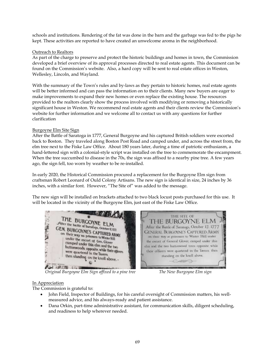schools and institutions. Rendering of the fat was done in the barn and the garbage was fed to the pigs he kept. These activities are reported to have created an unwelcome aroma in the neighborhood.

# Outreach to Realtors

As part of the charge to preserve and protect the historic buildings and homes in town, the Commission developed a brief overview of its approval processes directed to real estate agents. This document can be found on the Commission's website. Also, a hard copy will be sent to real estate offices in Weston, Wellesley, Lincoln, and Wayland.

With the summary of the Town's rules and by-laws as they pertain to historic homes, real estate agents will be better informed and can pass the information on to their clients. Many new buyers are eager to make improvements to expand their new homes or even replace the existing house. The resources provided to the realtors clearly show the process involved with modifying or removing a historically significant house in Weston. We recommend real estate agents and their clients review the Commission's website for further information and we welcome all to contact us with any questions for further clarification

## Burgoyne Elm Site Sign

After the Battle of Saratoga in 1777, General Burgoyne and his captured British soldiers were escorted back to Boston. They traveled along Boston Post Road and camped under, and across the street from, the elm tree next to the Fiske Law Office. About 180 years later, during a time of patriotic enthusiasm, a hand-lettered sign with a colonial-style script was installed on the tree to commemorate the encampment. When the tree succumbed to disease in the 70s, the sign was affixed to a nearby pine tree. A few years ago, the sign fell, too worn by weather to be re-installed.

In early 2020, the Historical Commission procured a replacement for the Burgoyne Elm sign from craftsman Robert Leonard of Ould Colony Artisans. The new sign is identical in size, 24 inches by 36 inches, with a similar font. However, "The Site of" was added to the message.

The new sign will be installed on brackets attached to two black locust posts purchased for this use. It will be located in the vicinity of the Burgoyne Elm, just east of the Fiske Law Office.





*Original Burgoyne Elm Sign affixed to a pine tree The New Burgoyne Elm sign*

# In Appreciation

The Commission is grateful to:

- John Field, Inspector of Buildings, for his careful oversight of Commission matters, his wellmeasured advice, and his always-ready and patient assistance.
- Dana Orkin, part-time administrative assistant, for communication skills, diligent scheduling, and readiness to help wherever needed.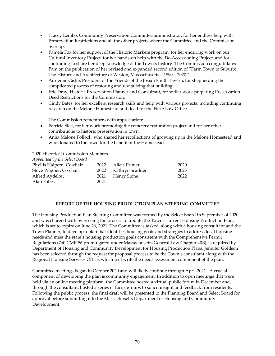- Tracey Lembo, Community Preservation Committee administrator, for her endless help with Preservation Restrictions and all the other projects where the Committee and the Commission overlap.
- Pamela Fox for her support of the Historic Markers program, for her enduring work on our Cultural Inventory Project, for her hands-on help with the De-Accessioning Project, and for continuing to share her deep knowledge of the Town's history. The Commission congratulates Pam on the publication of her revised and expanded second edition of "Farm Town to Suburb: The History and Architecture of Weston, Massachusetts – 1890 – 2020."
- Adrienne Giske, President of the Friends of the Josiah Smith Tavern, for shepherding the complicated process of restoring and revitalizing that building.
- Eric Dray, Historic Preservation Planner and Consultant, for stellar work preparing Preservation Deed Restrictions for the Commission.
- Cindy Bates, for her excellent research skills and help with various projects, including continuing research on the Melone Homestead and deed for the Fiske Law Office.

The Commission remembers with appreciation:

- Patricia Siek, for her work promoting the cemetery restoration project and for her other contributions to historic preservation in town.
- Anna Melone Pollock, who shared her recollections of growing up in the Melone Homestead and who donated to the town for the benefit of the Homestead.

### 2020 Historical Commission Members

| Appointed by the Select Board |      |                 |      |
|-------------------------------|------|-----------------|------|
| Phyllis Halpern, Co-chair     | 2022 | Alicia Primer   | 2020 |
| Steve Wagner, Co-chair        | 2022 | Kathryn Scadden | 2023 |
| Alfred Aydelott               | 2021 | Henry Stone     | 2022 |
| Alan Fobes                    | 2021 |                 |      |

# **REPORT OF THE HOUSING PRODUCTION PLAN STEERING COMMITTEE**

The Housing Production Plan Steering Committee was formed by the Select Board in September of 2020 and was charged with overseeing the process to update the Town's [current Housing Production Plan,](https://www.weston.org/928/Housing-Production-Plan) which is set to expire on June 26, 2021. The Committee is tasked, along with a housing consultant and the Town Planner, to develop a plan that identifies housing goals and strategies to address local housing needs and meet the state's housing production goals consistent with the Comprehensive Permit Regulations (760 CMR 56 promulgated under Massachusetts General Law Chapter 40B) as required by Department of Housing and Community Development for Housing Production Plans. Jennifer Goldson has been selected through the request for proposal process to be the Town's consultant along with the Regional Housing Services Office, which will write the needs assessment component of the plan.

Committee meetings began in October 2020 and will likely continue through April 2021. A crucial component of developing the plan is community engagement. In addition to open meetings that were held via an online meeting platform, the Committee hosted a virtual public forum in December and, through the consultant, hosted a series of focus groups to solicit insight and feedback from residents. Following the public process, the final draft will be presented to the Planning Board and Select Board for approval before submitting it to the Massachusetts Department of Housing and Community Development.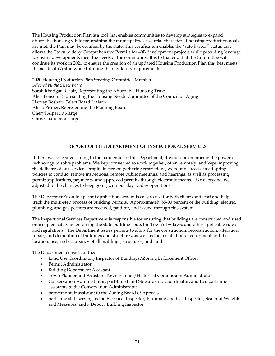The Housing Production Plan is a tool that enables communities to develop strategies to expand affordable housing while maintaining the municipality's essential character. If housing production goals are met, the Plan may be certified by the state. This certification enables the "safe harbor" status that allows the Town to deny Comprehensive Permits for 40B development projects while providing leverage to ensure developments meet the needs of the community. It is to that end that the Committee will continue its work in 2021 to ensure the creation of an updated Housing Production Plan that best meets the needs of Weston while fulfilling the regulatory requirements.

2020 Housing Production Plan Steering Committee Members *Selected by the Select Board* Sarah Rhatigan, Chair, Representing the Affordable Housing Trust Alice Benson, Representing the Housing Needs Committee of the Council on Aging Harvey Boshart, Select Board Liaison Alicia Primer, Representing the Planning Board Cheryl Alpert, at-large Chris Chandor, at-large

# **REPORT OF THE DEPARTMENT OF INSPECTIONAL SERVICES**

If there was one silver lining to the pandemic for this Department, it would be embracing the power of technology to solve problems. We kept connected to work together, often remotely, and kept improving the delivery of our service. Despite in-person gathering restrictions, we found success in adopting policies to conduct remote inspections, remote public meetings, and hearings, as well as processing permit applications, payments, and approved permits through electronic means. Like everyone, we adjusted to the changes to keep going with our day-to-day operations.

The Department's online permit application system is easy to use for both clients and staff and helps track the multi-step process of building permits. Approximately 85-90 percent of the building, electric, plumbing, and gas permits are received, paid for, and issued through this system.

The Inspectional Services Department is responsible for ensuring that buildings are constructed and used or occupied safely by enforcing the state building code, the Town's by-laws, and other applicable rules and regulations. The Department issues permits to allow for the construction, reconstruction, alteration, repair, and demolition of buildings and structures, as well as the installation of equipment and the location, use, and occupancy of all buildings, structures, and land.

The Department consists of the:

- Land Use Coordinator/Inspector of Buildings/Zoning Enforcement Officer
- Permit Administrator
- Building Department Assistant
- Town Planner and Assistant Town Planner/Historical Commission Administrator
- Conservation Administrator, part-time Land Stewardship Coordinator, and two part-time assistants to the Conservation Administrator
- part-time staff assistant to the Zoning Board of Appeals
- part-time staff serving as the Electrical Inspector, Plumbing and Gas Inspector, Sealer of Weights and Measures, and a Deputy Building Inspector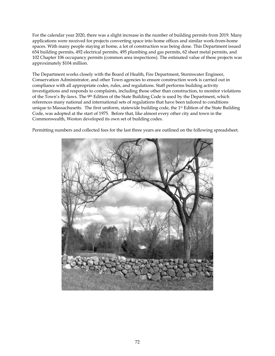For the calendar year 2020, there was a slight increase in the number of building permits from 2019. Many applications were received for projects converting space into home offices and similar work-from-home spaces. With many people staying at home, a lot of construction was being done. This Department issued 654 building permits, 492 electrical permits, 495 plumbing and gas permits, 62 sheet metal permits, and 102 Chapter 106 occupancy permits (common area inspections). The estimated value of these projects was approximately \$104 million.

The Department works closely with the Board of Health, Fire Department, Stormwater Engineer, Conservation Administrator, and other Town agencies to ensure construction work is carried out in compliance with all appropriate codes, rules, and regulations. Staff performs building activity investigations and responds to complaints, including those other than construction, to monitor violations of the Town's By-laws. The 9<sup>th</sup> Edition of the State Building Code is used by the Department, which references many national and international sets of regulations that have been tailored to conditions unique to Massachusetts. The first uniform, statewide building code, the 1st Edition of the State Building Code, was adopted at the start of 1975. Before that, like almost every other city and town in the Commonwealth, Weston developed its own set of building codes.

Permitting numbers and collected fees for the last three years are outlined on the following spreadsheet.

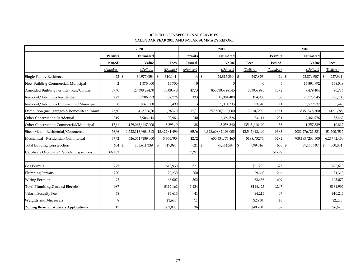### **REPORT OF INSPECTIONAL SERVICES CALENDAR YEAR 2020 AND 3-YEAR SUMMARY REPORT**

|                                            |                | 2020              |               |               | 2019                     |               | 2018          |                 |               |  |
|--------------------------------------------|----------------|-------------------|---------------|---------------|--------------------------|---------------|---------------|-----------------|---------------|--|
|                                            | <b>Permits</b> | Estimated         |               | Permits       | Estimated                |               | Permits       | Estimated       |               |  |
|                                            | <b>Issued</b>  | Value             | Fees          | <b>Issued</b> | Value                    | Fees          | <b>Issued</b> | Value           | Fees          |  |
|                                            | (Number)       | (Dollars)         | (Dollars)     | (Number)      | (Dollars)                | (Dollars)     | (Number)      | (Dollars)       | (Dollars)     |  |
| <b>Single Family Residence</b>             | 22S            | 30,977,058        | \$<br>310,141 |               | 14 \$<br>$24,815,330$ \$ | 247,829       | 19 \$         | 22,879,907      | 227,994<br>\$ |  |
| New Building-Commercial/Municipal          |                | 1,375,000         | 13,750        |               |                          |               | ٩             | 13,894,992      | 138,549       |  |
| Amended Building Permits - Res/Comm.       | 37/0           | 28,398,284/0      | 70,093/0      | 47/3          | 8555195/99545            | 80395/995     | 45/2          | 9,479,404       | 90,716        |  |
| Remodel/Additions Residential              | 122            | 19,386,973        | 187,776       | 133           | 18,384,408               | 194,900       | 159           | 23,175,945      | 236,105       |  |
| Remodel/Additions Commercial/Municipal     |                | 10,061,008        | 9,490         | 13            | 9,311,333                | 23,540        | 11            | 5,579,237       | 5,443         |  |
| Demolition (incl. garages & homes)Res/Comm | 25/0           | 412,826/0         | 6,263/0       | 17/1          | 357,500/110,000          | 3,710/200     | 18/1          | 354915/8,500    | 4131./85.     |  |
| Other Construction Residential             | 319            | 8,906,644         | 90,966        | 240           | 6,394,526                | 73,111        | 231           | 9,464,976       | 85,462        |  |
| Other Construction Commercial/Municipal    | 17/1           | 1,129,063/147,000 | 8,293/0       | 38            | 3,258,340                | 13545./18490  | 38            | 1,257,539       | 10,817        |  |
| Sheet Metal - Residential/Commercial       | 56/6           | 1,528,116/604,313 | 15,425/1,499  | 65/6          | 1,328,608/2,106,008      | 13,545/18,490 | 96/3          | 2081,276/21,331 | 51,500/515    |  |
| Mechanical - Residential/Commerical        | 37/2           | 526,054/189,000   | 5,304/90.     | 42/2          | 650,334/73,460           | 5198./5276.   | 52/2          | 708,185/234,500 | 6,267/2,450   |  |
| <b>Total Building Construction</b>         | 654 \$         | 103,641,339       | \$<br>719,090 | 621S          | 75,444,587 \$            | 699,316       | 680 \$        | 89,140,707      | 860,034<br>S. |  |
| Certificate Occupany/Periodic Inspections  | 39/102         |                   |               | 37/91         |                          |               | 51/97         |                 |               |  |
|                                            |                |                   |               |               |                          |               |               |                 |               |  |
| <b>Gas Permits</b>                         | 275            |                   | \$18,930      | 321           |                          | \$21,202      | 325           |                 | \$22,610      |  |
| <b>Plumbing Permits</b>                    | 220            |                   | 27,230        | 260           |                          | 29,660        | 266           |                 | 34,310        |  |
| Wiring Permits*                            | 492            |                   | 66,002        | 502           |                          | 63,656        | 609           |                 | 105,072       |  |
| <b>Total Plumbing, Gas and Electric</b>    | 987            |                   | \$112,162     | 1,124         |                          | \$114,425     | 1,247         |                 | \$161,992     |  |
| *Alarm Security Fee                        | 38             |                   | \$5,615       | 41            |                          | \$4,215       | 47            |                 | \$10,245      |  |
| <b>Weights and Measurers</b>               | 8              |                   | \$1,680       | 11            |                          | \$2,930       | 10            |                 | \$2,285       |  |
| Zoning Board of Appeals Applications       | 17             |                   | \$31,000      | 36            |                          | \$48,700      | 32            |                 | \$6,625       |  |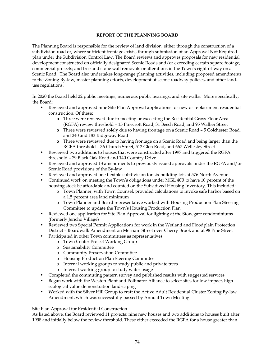## **REPORT OF THE PLANNING BOARD**

The Planning Board is responsible for the review of land division, either through the construction of a subdivision road or, where sufficient frontage exists, through submission of an Approval Not Required plan under the Subdivision Control Law. The Board reviews and approves proposals for new residential development constructed on officially designated Scenic Roads and/or exceeding certain square footage; commercial projects; and tree and stone wall removals or alterations in the Town's right-of-way on a Scenic Road. The Board also undertakes long-range planning activities, including proposed amendments to the Zoning By-law, master planning efforts, development of scenic roadway policies, and other landuse regulations.

In 2020 the Board held 22 public meetings, numerous public hearings, and site walks. More specifically, the Board:

- Reviewed and approved nine Site Plan Approval applications for new or replacement residential construction. Of these:
	- **o** Three were reviewed due to meeting or exceeding the Residential Gross Floor Area (RGFA) review threshold – 15 Pinecroft Road, 31 Beech Road, and 95 Walker Street
	- **o** Three were reviewed solely due to having frontage on a Scenic Road 5 Colchester Road, and 240 and 183 Ridgeway Road
	- **o** Three were reviewed due to having frontage on a Scenic Road and being larger than the RGFA threshold – 36 Church Street, 512 Glen Road, and 667 Wellesley Street
- Reviewed two additions to houses that were constructed after 1997 and triggered the RGFA threshold – 79 Black Oak Road and 140 Country Drive
- Reviewed and approved 13 amendments to previously issued approvals under the RGFA and/or Scenic Road provisions of the By-law
- Reviewed and approved one flexible subdivision for six building lots at 576 North Avenue
- Continued work on meeting the Town's obligations under MGL 40B to have 10 percent of the housing stock be affordable and counted on the Subsidized Housing Inventory. This included:
	- o Town Planner, with Town Counsel, provided calculations to invoke safe harbor based on a 1.5 percent area land minimum
	- o Town Planner and Board representative worked with Housing Production Plan Steering Committee to update the Town's Housing Production Plan
- Reviewed one application for Site Plan Approval for lighting at the Stonegate condominiums (formerly Jericho Village)
- Reviewed two Special Permit Applications for work in the Wetland and Floodplain Protection District – Boardwalk Amendment on Merriam Street over Cherry Brook and at 98 Pine Street
	- Participated in other Town committees as representatives:
		- o Town Center Project Working Group
		- o Sustainability Committee
		- o Community Preservation Committee
		- o Housing Production Plan Steering Committee
		- o Internal working groups to study public and private trees
		- o Internal working group to study water usage
- Completed the commuting pattern survey and published results with suggested services
- Began work with the Weston Plant and Pollinator Alliance to select sites for low impact, high ecological value demonstration landscaping
- Worked with the Silver Hill Group to craft the Active Adult Residential Cluster Zoning By-law Amendment, which was successfully passed by Annual Town Meeting.

### Site Plan Approval for Residential Construction

As listed above, the Board reviewed 11 projects: nine new houses and two additions to houses built after 1998 and initially below the review threshold. These either exceeded the RGFA for a house greater than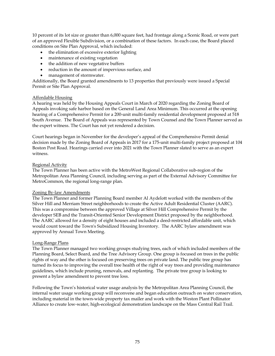10 percent of its lot size or greater than 6,000 square feet, had frontage along a Scenic Road, or were part of an approved Flexible Subdivision, or a combination of these factors. In each case, the Board placed conditions on Site Plan Approval, which included:

- the elimination of excessive exterior lighting
- maintenance of existing vegetation
- the addition of new vegetative buffers
- reduction in the amount of impervious surface, and
- management of stormwater.

Additionally, the Board granted amendments to 13 properties that previously were issued a Special Permit or Site Plan Approval.

# Affordable Housing

A hearing was held by the Housing Appeals Court in March of 2020 regarding the Zoning Board of Appeals invoking safe harbor based on the General Land Area Minimum. This occurred at the opening hearing of a Comprehensive Permit for a 200-unit multi-family residential development proposed at 518 South Avenue. The Board of Appeals was represented by Town Counsel and the Town Planner served as the expert witness. The Court has not yet rendered a decision.

Court hearings began in November for the developer's appeal of the Comprehensive Permit denial decision made by the Zoning Board of Appeals in 2017 for a 175-unit multi-family project proposed at 104 Boston Post Road. Hearings carried over into 2021 with the Town Planner slated to serve as an expert witness.

## Regional Activity

The Town Planner has been active with the MetroWest Regional Collaborative sub-region of the Metropolitan Area Planning Council, including serving as part of the External Advisory Committee for MetroCommon, the regional long-range plan.

# Zoning By-law Amendments

The Town Planner and former Planning Board member Al Aydelott worked with the members of the Silver Hill and Merriam Street neighborhoods to create the Active Adult Residential Cluster (AARC). This was a compromise between the approved Village at Silver Hill Comprehensive Permit by the developer SEB and the Transit-Oriented Senior Development District proposed by the neighborhood. The AARC allowed for a density of eight houses and included a deed-restricted affordable unit, which would count toward the Town's Subsidized Housing Inventory. The AARC bylaw amendment was approved by Annual Town Meeting.

# Long-Range Plans

The Town Planner managed two working groups studying trees, each of which included members of the Planning Board, Select Board, and the Tree Advisory Group. One group is focused on trees in the public rights of way and the other is focused on preserving trees on private land. The public tree group has turned its focus to improving the overall tree health of the right of way trees and providing maintenance guidelines, which include pruning, removals, and replanting. The private tree group is looking to present a bylaw amendment to prevent tree loss.

Following the Town's historical water usage analysis by the Metropolitan Area Planning Council, the internal water usage working group will reconvene and began education outreach on water conservation, including material in the town-wide property tax mailer and work with the Weston Plant Pollinator Alliance to create low-water, high-ecological demonstration landscape on the Mass Central Rail Trail.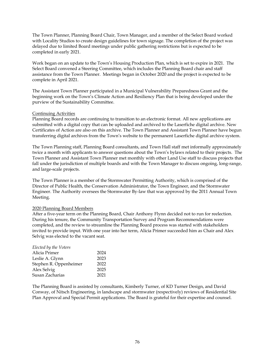The Town Planner, Planning Board Chair, Town Manager, and a member of the Select Board worked with Locality Studios to create design guidelines for town signage. The completion of the project was delayed due to limited Board meetings under public gathering restrictions but is expected to be completed in early 2021.

Work began on an update to the Town's Housing Production Plan, which is set to expire in 2021. The Select Board convened a Steering Committee, which includes the Planning Board chair and staff assistance from the Town Planner. Meetings began in October 2020 and the project is expected to be complete in April 2021.

The Assistant Town Planner participated in a Municipal Vulnerability Preparedness Grant and the beginning work on the Town's Climate Action and Resiliency Plan that is being developed under the purview of the Sustainability Committee.

## Continuing Activities

Planning Board records are continuing to transition to an electronic format. All new applications are submitted with a digital copy that can be uploaded and archived to the Laserfiche digital archive. New Certificates of Action are also on this archive. The Town Planner and Assistant Town Planner have begun transferring digital archives from the Town's website to the permanent Laserfiche digital archive system.

The Town Planning staff, Planning Board consultants, and Town Hall staff met informally approximately twice a month with applicants to answer questions about the Town's bylaws related to their projects. The Town Planner and Assistant Town Planner met monthly with other Land Use staff to discuss projects that fall under the jurisdiction of multiple boards and with the Town Manager to discuss ongoing, long-range, and large-scale projects.

The Town Planner is a member of the Stormwater Permitting Authority, which is comprised of the Director of Public Health, the Conservation Administrator, the Town Engineer, and the Stormwater Engineer. The Authority oversees the Stormwater By-law that was approved by the 2011 Annual Town Meeting.

### 2020 Planning Board Members

After a five-year term on the Planning Board, Chair Anthony Flynn decided not to run for reelection. During his tenure, the Community Transportation Survey and Program Recommendations were completed, and the review to streamline the Planning Board process was started with stakeholders invited to provide input. With one year into her term, Alicia Primer succeeded him as Chair and Alex Selvig was elected to the vacant seat.

| Elected by the Voters  |      |
|------------------------|------|
| Alicia Primer          | 2024 |
| Leslie A. Glynn        | 2023 |
| Stephen R. Oppenheimer | 2022 |
| Alex Selvig            | 2025 |
| Susan Zacharias        | 2021 |

The Planning Board is assisted by consultants, Kimberly Turner, of KD Turner Design, and David Conway, of Nitsch Engineering, in landscape and stormwater (respectively) reviews of Residential Site Plan Approval and Special Permit applications. The Board is grateful for their expertise and counsel.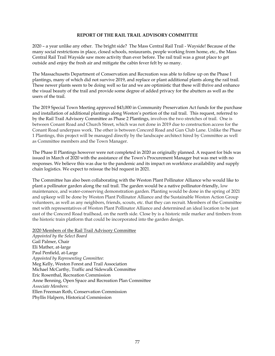#### **REPORT OF THE RAIL TRAIL ADVISORY COMMITTEE**

2020 – a year unlike any other. The bright side? The Mass Central Rail Trail - Wayside! Because of the many social restrictions in place, closed schools, restaurants, people working from home, etc., the Mass Central Rail Trail Wayside saw more activity than ever before. The rail trail was a great place to get outside and enjoy the fresh air and mitigate the cabin fever felt by so many.

The Massachusetts Department of Conservation and Recreation was able to follow up on the Phase I plantings, many of which did not survive 2019, and replace or plant additional plants along the rail trail. These newer plants seem to be doing well so far and we are optimistic that these will thrive and enhance the visual beauty of the trail and provide some degree of added privacy for the abutters as well as the users of the trail.

The 2019 Special Town Meeting approved \$43,000 in Community Preservation Act funds for the purchase and installation of additional plantings along Weston's portion of the rail trail. This request, referred to by the Rail Trail Advisory Committee as Phase 2 Plantings, involves the two stretches of trail. One is between Conant Road and Church Street, which was not done in 2019 due to construction access for the Conant Road underpass work. The other is between Concord Road and Gun Club Lane. Unlike the Phase 1 Plantings, this project will be managed directly by the landscape architect hired by Committee as well as Committee members and the Town Manager.

The Phase II Plantings however were not completed in 2020 as originally planned. A request for bids was issued in March of 2020 with the assistance of the Town's Procurement Manager but was met with no responses. We believe this was due to the pandemic and its impact on workforce availability and supply chain logistics. We expect to reissue the bid request in 2021.

The Committee has also been collaborating with the Weston Plant Pollinator Alliance who would like to plant a pollinator garden along the rail trail. The garden would be a native pollinator-friendly, low maintenance, and water-conserving demonstration garden. Planting would be done in the spring of 2021 and upkeep will be done by Weston Plant Pollinator Alliance and the Sustainable Weston Action Group volunteers, as well as any neighbors, friends, scouts, etc. that they can recruit. Members of the Committee met with representatives of Weston Plant Pollinator Alliance and determined an ideal location to be just east of the Concord Road trailhead, on the north side. Close by is a historic mile marker and timbers from the historic train platform that could be incorporated into the garden design.

### 2020 Members of the Rail Trail Advisory Committee

*Appointed by the Select Board* Gail Palmer, Chair Eli Mather, at-large Paul Penfield, at-Large *Appointed by Representing Committee*: Meg Kelly, Weston Forest and Trail Association Michael McCarthy, Traffic and Sidewalk Committee Eric Rosenthal, Recreation Commission Anne Benning, Open Space and Recreation Plan Committee *Associate Members*: Ellen Freeman Roth, Conservation Commission Phyllis Halpern, Historical Commission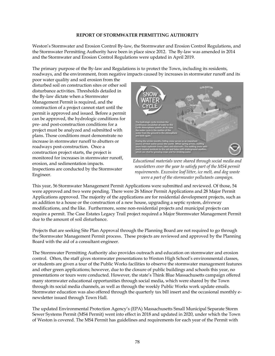## **REPORT OF STORMWATER PERMITTING AUTHORITY**

Weston's Stormwater and Erosion Control By-law, the Stormwater and Erosion Control Regulations, and the Stormwater Permitting Authority have been in place since 2012. The By-law was amended in 2014 and the Stormwater and Erosion Control Regulations were updated in April 2019.

The primary purpose of the By-law and Regulations is to protect the Town, including its residents, roadways, and the environment, from negative impacts caused by increases in stormwater runoff and its

poor water quality and soil erosion from the disturbed soil on construction sites or other soil disturbance activities. Thresholds detailed in the By-law dictate when a Stormwater Management Permit is required, and the construction of a project cannot start until the permit is approved and issued. Before a permit can be approved, the hydrologic conditions for pre- and post-construction conditions for a project must be analyzed and submitted with plans. Those conditions must demonstrate no increase in stormwater runoff to abutters or roadways post-construction. Once a construction project starts, the project is monitored for increases in stormwater runoff, erosion, and sedimentation impacts. Inspections are conducted by the Stormwater Engineer.



*Educational materials were shared through social media and newsletters over the year to satisfy part of the MS4 permit requirements. Excessive leaf litter, ice melt, and dog waste were a part of the stormwater pollutants campaign.*

This year, 56 Stormwater Management Permit Applications were submitted and reviewed. Of those, 54 were approved and two were pending. There were 26 Minor Permit Applications and 28 Major Permit Applications approved. The majority of the applications are for residential development projects, such as an addition to a house or the construction of a new house, upgrading a septic system, driveway modifications, and the like. Furthermore, some non-residential projects and municipal projects can require a permit. The Case Estates Legacy Trail project required a Major Stormwater Management Permit due to the amount of soil disturbance.

Projects that are seeking Site Plan Approval through the Planning Board are not required to go through the Stormwater Management Permit process. These projects are reviewed and approved by the Planning Board with the aid of a consultant engineer.

The Stormwater Permitting Authority also provides outreach and education on stormwater and erosion control. Often, the staff gives stormwater presentations to Weston High School's environmental classes, or students are given a tour of the Public Works facilities to observe the stormwater management features and other green applications; however, due to the closure of public buildings and schools this year, no presentations or tours were conducted. However, the state's Think Blue Massachusetts campaign offered many stormwater educational opportunities through social media, which were shared by the Town through its social media channels, as well as through the weekly Public Works work update emails. Stormwater education was also offered through the quarterly tax bill insert and the occasional monthly enewsletter issued through Town Hall.

The updated Environmental Protection Agency's (EPA) Massachusetts Small Municipal Separate Storm Sewer Systems Permit (MS4 Permit) went into effect in 2018 and updated in 2020, under which the Town of Weston is covered. The MS4 Permit has guidelines and requirements for each year of the Permit with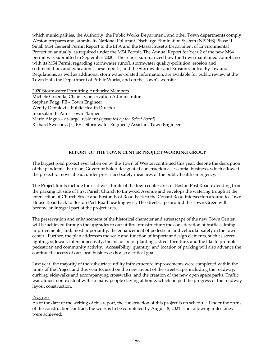which municipalities, the Authority, the Public Works Department, and other Town departments comply. Weston prepares and submits its National Pollutant Discharge Elimination System (NPDES) Phase II Small MS4 General Permit Report to the EPA and the Massachusetts Department of Environmental Protection annually, as required under the MS4 Permit. The Annual Report for Year 2 of the new MS4 permit was submitted in September 2020. The report summarized how the Town maintained compliance with its MS4 Permit regarding stormwater runoff, stormwater quality-pollution, erosion and sedimentation, and education. These reports, and the Stormwater and Erosion Control By-law and Regulations, as well as additional stormwater-related information, are available for public review at the Town Hall, the Department of Public Works, and on the Town's website.

2020 Stormwater Permitting Authority Members Michele Grzenda, Chair – Conservation Administrator Stephen Fogg, PE – Town Engineer Wendy Diotalevi – Public Health Director Imaikalani P. Aiu – Town Planner Mario Alagna – at-large, resident *(appointed by the Select Board)* Richard Sweeney, Jr., PE – Stormwater Engineer/Assistant Town Engineer

# **REPORT OF THE TOWN CENTER PROJECT WORKING GROUP**

The largest road project ever taken on by the Town of Weston continued this year, despite the disruption of the pandemic. Early on, Governor Baker designated construction as essential business, which allowed the project to move ahead, under prescribed safety measures of the public health emergency.

The Project limits include the east-west limits of the town center area of Boston Post Road extending from the parking lot side of First Parish Church to Linwood Avenue and envelops the watering trough at the intersection of Church Street and Boston Post Road back to the Conant Road intersection around to Town House Road back to Boston Post Road heading west. The streetscape around the Town Green will become an integral part of the project area.

The preservation and enhancement of the historical character and streetscape of the new Town Center will be achieved through the upgrades to our utility infrastructure; the consideration of traffic calming improvements; and, most importantly, the enhancement of pedestrian and vehicular safety in the town center. Further, the plan addresses the scale and function of important design elements, such as street lighting, sidewalk interconnectivity, the inclusion of plantings, street furniture, and the like to promote pedestrian and community activity. Accessibility, quantity, and location of parking will also advance the continued success of our local businesses is also a critical goal.

Last year, the majority of the subsurface utility infrastructure improvements were completed within the limits of the Project and this year focused on the new layout of the streetscape, including the roadway, curbing, sidewalks and accompanying crosswalks, and the creation of the new open space parks. Traffic was almost non-existent with so many people staying at home, which helped the progress of the roadway layout construction.

### Progress

As of the date of the writing of this report, the construction of this project is on schedule. Under the terms of the construction contract, the work is to be completed by August 8, 2021. The following milestones were achieved: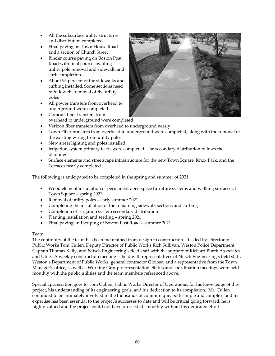- All the subsurface utility structures and distribution completed
- Final paving on Town House Road and a section of Church Street
- Binder course paving on Boston Post Road with final course awaiting utility pole removal and sidewalk and curb completion
- About 95 percent of the sidewalks and curbing installed. Some sections need to follow the removal of the utility poles
- All power transfers from overhead to underground were completed
- Comcast fiber transfers from overhead to underground were completed



- Verizon fiber transfers from overhead to underground nearly
- Town Fiber transfers from overhead to underground were completed, along with the removal of the existing wiring from utility poles
- New street lighting and poles installed
- Irrigation system primary feeds were completed. The secondary distribution follows the plantings
- Surface elements and streetscape infrastructure for the new Town Square, Knox Park, and the Terraces nearly completed

The following is anticipated to be completed in the spring and summer of 2021:

- Wood element installation of permanent open space furniture systems and walking surfaces at Town Square – spring 2021
- Removal of utility poles early summer 2021
- Completing the installation of the remaining sidewalk sections and curbing
- Completion of irrigation system secondary distribution
- Planting installation and seeding spring 2021
- Final paving and striping of Boston Post Road summer 2021

# Team

The continuity of the team has been maintained from design to construction. It is led by Director of Public Works Tom Cullen, Deputy Director of Public Works Rich Sullivan, Weston Police Department Captain Thomas Kelly, and Nitsch Engineering's field staff with the support of Richard Burck Associates and Utile. A weekly construction meeting is held with representatives of Nitsch Engineering's field staff, Weston's Department of Public Works, general contractor Gioioso, and a representative from the Town Manager's office, as well as Working Group representation. Status and coordination meetings were held monthly with the public utilities and the team members referenced above.

Special appreciation goes to Tom Cullen, Public Works Director of Operations, for his knowledge of this project, his understanding of its engineering goals, and his dedication to its completion. Mr. Cullen continued to be intimately involved in the thousands of communique, both simple and complex, and his expertise has been essential to the project's successes to date and will be critical going forward; he is highly valued and the project could not have proceeded smoothly without his dedicated effort.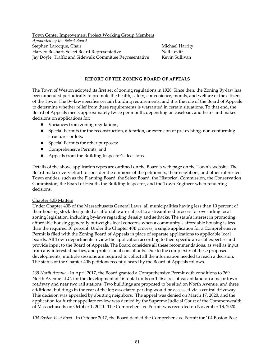Town Center Improvement Project Working Group Members *Appointed by the Select Board* Stephen Larocque, Chair Michael Harrity Michael Harrity Harvey Boshart, Select Board Representative Neil Levitt Jay Doyle, Traffic and Sidewalk Committee Representative Kevin Sullivan

# **REPORT OF THE ZONING BOARD OF APPEALS**

The Town of Weston adopted its first set of zoning regulations in 1928. Since then, the Zoning By-law has been amended periodically to promote the health, safety, convenience, morals, and welfare of the citizens of the Town. The By-law specifies certain building requirements, and it is the role of the Board of Appeals to determine whether relief from these requirements is warranted in certain situations. To that end, the Board of Appeals meets approximately twice per month, depending on caseload, and hears and makes decisions on applications for:

- Variances from zoning regulations;
- Special Permits for the reconstruction, alteration, or extension of pre-existing, non-conforming structures or lots;
- Special Permits for other purposes;
- Comprehensive Permits; and
- Appeals from the Building Inspector's decisions.

Details of the above application types are outlined on the Board's web page on the Town's website. The Board makes every effort to consider the opinions of the petitioners, their neighbors, and other interested Town entities, such as the Planning Board, the Select Board, the Historical Commission, the Conservation Commission, the Board of Health, the Building Inspector, and the Town Engineer when rendering decisions.

### Chapter 40B Matters

Under Chapter 40B of the Massachusetts General Laws, all municipalities having less than 10 percent of their housing stock designated as affordable are subject to a streamlined process for overriding local zoning legislation, including by-laws regarding density and setbacks. The state's interest in promoting affordable housing generally outweighs local concerns when a community's affordable housing is less than the required 10 percent. Under the Chapter 40B process, a single application for a Comprehensive Permit is filed with the Zoning Board of Appeals in place of separate applications to applicable local boards. All Town departments review the application according to their specific areas of expertise and provide input to the Board of Appeals. The Board considers all these recommendations, as well as input from any interested parties, and professional consultants. Due to the complexity of these proposed developments, multiple sessions are required to collect all the information needed to reach a decision. The status of the Chapter 40B petitions recently heard by the Board of Appeals follows.

*269 North Avenue -* In April 2017, the Board granted a Comprehensive Permit with conditions to 269 North Avenue LLC, for the development of 16 rental units on 1.46 acres of vacant land on a major town roadway and near two rail stations. Two buildings are proposed to be sited on North Avenue, and three additional buildings in the rear of the lot; associated parking would be accessed via a central driveway. This decision was appealed by abutting neighbors. The appeal was denied on March 17, 2020, and the application for further appellate review was denied by the Supreme Judicial Court of the Commonwealth of Massachusetts on October 1, 2020. The Comprehensive Permit was recorded on November 13, 2020.

*104 Boston Post Road -* In October 2017, the Board denied the Comprehensive Permit for 104 Boston Post